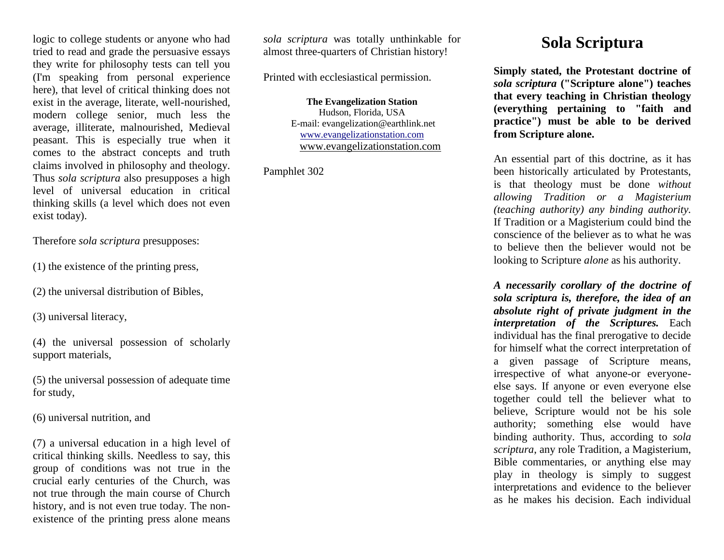logic to college students or anyone who had tried to read and grade the persuasive essays they write for philosophy tests can tell you (I'm speaking from personal experience here), that level of critical thinking does not exist in the average, literate, well-nourished, modern college senior, much less the average, illiterate, malnourished, Medieval peasant. This is especially true when it comes to the abstract concepts and truth claims involved in philosophy and theology. Thus *sola scriptura* also presupposes a high level of universal education in critical thinking skills (a level which does not even exist today).

Therefore *sola scriptura* presupposes:

(1) the existence of the printing press,

(2) the universal distribution of Bibles,

(3) universal literacy,

(4) the universal possession of scholarly support materials,

(5) the universal possession of adequate time for study,

(6) universal nutrition, and

(7) a universal education in a high level of critical thinking skills. Needless to say, this group of conditions was not true in the crucial early centuries of the Church, was not true through the main course of Church history, and is not even true today. The nonexistence of the printing press alone means

*sola scriptura* was totally unthinkable for almost three-quarters of Christian history!

Printed with ecclesiastical permission.

**The Evangelization Station** Hudson, Florida, USA E-mail: evangelization@earthlink.net [www.evangelizationstation.com](http://www.pjpiisoe.org/) [www.evangelizationstation.com](http://www.pjpiisoe.org/)

Pamphlet 302

## **Sola Scriptura**

**Simply stated, the Protestant doctrine of**  *sola scriptura* **("Scripture alone") teaches that every teaching in Christian theology (everything pertaining to "faith and practice") must be able to be derived from Scripture alone.**

An essential part of this doctrine, as it has been historically articulated by Protestants, is that theology must be done *without allowing Tradition or a Magisterium (teaching authority) any binding authority.* If Tradition or a Magisterium could bind the conscience of the believer as to what he was to believe then the believer would not be looking to Scripture *alone* as his authority.

*A necessarily corollary of the doctrine of sola scriptura is, therefore, the idea of an absolute right of private judgment in the interpretation of the Scriptures.* Each individual has the final prerogative to decide for himself what the correct interpretation of a given passage of Scripture means, irrespective of what anyone-or everyoneelse says. If anyone or even everyone else together could tell the believer what to believe, Scripture would not be his sole authority; something else would have binding authority. Thus, according to *sola scriptura*, any role Tradition, a Magisterium, Bible commentaries, or anything else may play in theology is simply to suggest interpretations and evidence to the believer as he makes his decision. Each individual